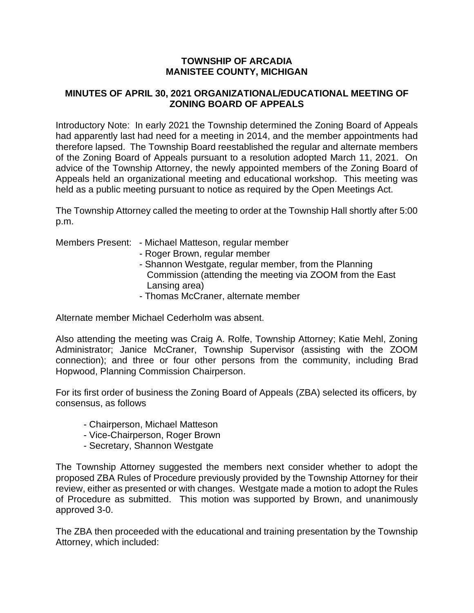## **TOWNSHIP OF ARCADIA MANISTEE COUNTY, MICHIGAN**

## **MINUTES OF APRIL 30, 2021 ORGANIZATIONAL/EDUCATIONAL MEETING OF ZONING BOARD OF APPEALS**

Introductory Note: In early 2021 the Township determined the Zoning Board of Appeals had apparently last had need for a meeting in 2014, and the member appointments had therefore lapsed. The Township Board reestablished the regular and alternate members of the Zoning Board of Appeals pursuant to a resolution adopted March 11, 2021. On advice of the Township Attorney, the newly appointed members of the Zoning Board of Appeals held an organizational meeting and educational workshop. This meeting was held as a public meeting pursuant to notice as required by the Open Meetings Act.

The Township Attorney called the meeting to order at the Township Hall shortly after 5:00 p.m.

| Members Present: - Michael Matteson, regular member<br>- Roger Brown, regular member<br>- Shannon Westgate, regular member, from the Planning<br>Commission (attending the meeting via ZOOM from the East<br>Lansing area)<br>- Thomas McCraner, alternate member |
|-------------------------------------------------------------------------------------------------------------------------------------------------------------------------------------------------------------------------------------------------------------------|
|                                                                                                                                                                                                                                                                   |

Alternate member Michael Cederholm was absent.

Also attending the meeting was Craig A. Rolfe, Township Attorney; Katie Mehl, Zoning Administrator; Janice McCraner, Township Supervisor (assisting with the ZOOM connection); and three or four other persons from the community, including Brad Hopwood, Planning Commission Chairperson.

For its first order of business the Zoning Board of Appeals (ZBA) selected its officers, by consensus, as follows

- Chairperson, Michael Matteson
- Vice-Chairperson, Roger Brown
- Secretary, Shannon Westgate

The Township Attorney suggested the members next consider whether to adopt the proposed ZBA Rules of Procedure previously provided by the Township Attorney for their review, either as presented or with changes. Westgate made a motion to adopt the Rules of Procedure as submitted. This motion was supported by Brown, and unanimously approved 3-0.

The ZBA then proceeded with the educational and training presentation by the Township Attorney, which included: